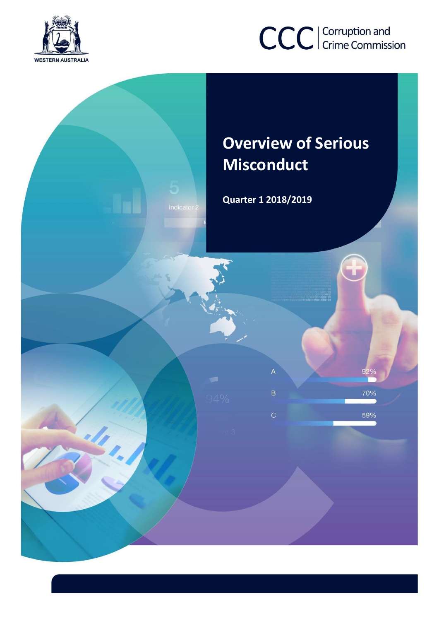

# CCC | Corruption and

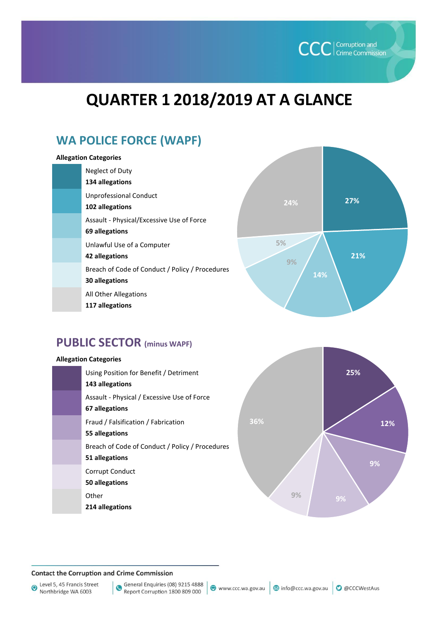

## **QUARTER 1 2018/2019 AT A GLANCE**

## **WA POLICE FORCE (WAPF)**

#### **Allegation Categories**

| Neglect of Duty<br>134 allegations                                |
|-------------------------------------------------------------------|
| <b>Unprofessional Conduct</b><br>102 allegations                  |
| Assault - Physical/Excessive Use of Force<br>69 allegations       |
| Unlawful Use of a Computer<br>42 allegations                      |
| Breach of Code of Conduct / Policy / Procedures<br>30 allegations |
| All Other Allegations                                             |

**117 allegations** 



## **PUBLIC SECTOR (minus WAPF)**

## **Allegation Categories** Using Position for Benefit / Detriment **143 allegations** Assault - Physical / Excessive Use of Force **67 allegations** Fraud / Falsification / Fabrication **55 allegations** Breach of Code of Conduct / Policy / Procedures **51 allegations** Corrupt Conduct **50 allegations Other 214 allegations**



#### **Contact the Corruption and Crime Commission**

Level 5, 45 Francis Street<br>Northbridge WA 6003

General Enquiries (08) 9215 4888 Report Corruption 1800 809 000

www.ccc.wa.gov.au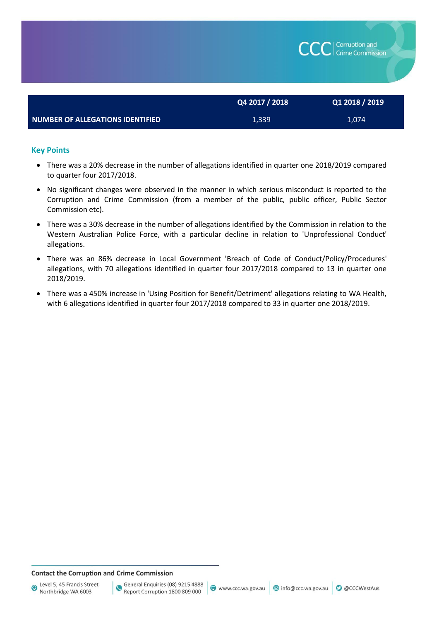|                                  | Q4 2017 / 2018 | Q1 2018 / 2019 |
|----------------------------------|----------------|----------------|
| NUMBER OF ALLEGATIONS IDENTIFIED | 1,339          | 1,074          |

#### **Key Points**

- There was a 20% decrease in the number of allegations identified in quarter one 2018/2019 compared to quarter four 2017/2018.
- No significant changes were observed in the manner in which serious misconduct is reported to the Corruption and Crime Commission (from a member of the public, public officer, Public Sector Commission etc).
- There was a 30% decrease in the number of allegations identified by the Commission in relation to the Western Australian Police Force, with a particular decline in relation to 'Unprofessional Conduct' allegations.
- There was an 86% decrease in Local Government 'Breach of Code of Conduct/Policy/Procedures' allegations, with 70 allegations identified in quarter four 2017/2018 compared to 13 in quarter one 2018/2019.
- There was a 450% increase in 'Using Position for Benefit/Detriment' allegations relating to WA Health, with 6 allegations identified in quarter four 2017/2018 compared to 33 in quarter one 2018/2019.

#### **Contact the Corruption and Crime Commission**

Corruption and<br>Crime Commission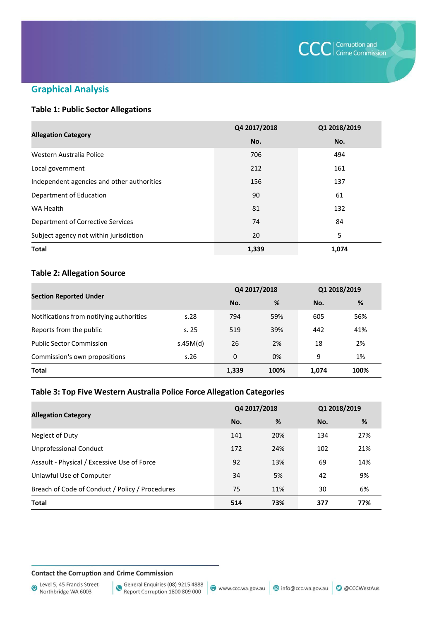

## **Graphical Analysis**

## **Table 1: Public Sector Allegations**

|                                            | Q4 2017/2018 | Q1 2018/2019 |  |
|--------------------------------------------|--------------|--------------|--|
| <b>Allegation Category</b>                 | No.          | No.          |  |
| Western Australia Police                   | 706          | 494          |  |
| Local government                           | 212          | 161          |  |
| Independent agencies and other authorities | 156          | 137          |  |
| Department of Education                    | 90           | 61           |  |
| WA Health                                  | 81           | 132          |  |
| Department of Corrective Services          | 74           | 84           |  |
| Subject agency not within jurisdiction     | 20           | 5            |  |
| <b>Total</b>                               | 1,339        | 1,074        |  |

## **Table 2: Allegation Source**

| <b>Section Reported Under</b>            |          | Q4 2017/2018 |      | Q1 2018/2019 |      |
|------------------------------------------|----------|--------------|------|--------------|------|
|                                          |          | No.          | %    | No.          | %    |
| Notifications from notifying authorities | s.28     | 794          | 59%  | 605          | 56%  |
| Reports from the public                  | s.25     | 519          | 39%  | 442          | 41%  |
| <b>Public Sector Commission</b>          | s.45M(d) | 26           | 2%   | 18           | 2%   |
| Commission's own propositions            | s.26     | 0            | 0%   | 9            | 1%   |
| <b>Total</b>                             |          | 1,339        | 100% | 1,074        | 100% |

### **Table 3: Top Five Western Australia Police Force Allegation Categories**

|                                                 | Q4 2017/2018 |     | Q1 2018/2019 |     |
|-------------------------------------------------|--------------|-----|--------------|-----|
| <b>Allegation Category</b>                      | No.          | %   | No.          | %   |
| Neglect of Duty                                 | 141          | 20% | 134          | 27% |
| <b>Unprofessional Conduct</b>                   | 172          | 24% | 102          | 21% |
| Assault - Physical / Excessive Use of Force     | 92           | 13% | 69           | 14% |
| Unlawful Use of Computer                        | 34           | 5%  | 42           | 9%  |
| Breach of Code of Conduct / Policy / Procedures | 75           | 11% | 30           | 6%  |
| <b>Total</b>                                    | 514          | 73% | 377          | 77% |

**Contact the Corruption and Crime Commission**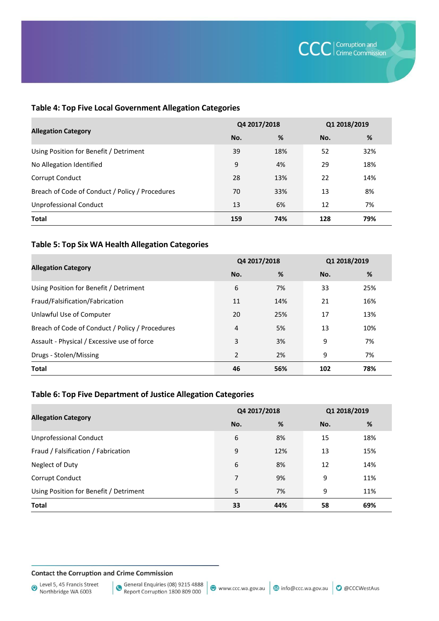## **Table 4: Top Five Local Government Allegation Categories**

|                                                 | Q4 2017/2018 |     | Q1 2018/2019 |     |
|-------------------------------------------------|--------------|-----|--------------|-----|
| <b>Allegation Category</b>                      | No.          | %   | No.          | %   |
| Using Position for Benefit / Detriment          | 39           | 18% | 52           | 32% |
| No Allegation Identified                        | 9            | 4%  | 29           | 18% |
| Corrupt Conduct                                 | 28           | 13% | 22           | 14% |
| Breach of Code of Conduct / Policy / Procedures | 70           | 33% | 13           | 8%  |
| <b>Unprofessional Conduct</b>                   | 13           | 6%  | 12           | 7%  |
| <b>Total</b>                                    | 159          | 74% | 128          | 79% |

## **Table 5: Top Six WA Health Allegation Categories**

|                                                 | Q4 2017/2018   |     | Q1 2018/2019 |     |
|-------------------------------------------------|----------------|-----|--------------|-----|
| <b>Allegation Category</b>                      | No.            | %   | No.          | %   |
| Using Position for Benefit / Detriment          | 6              | 7%  | 33           | 25% |
| Fraud/Falsification/Fabrication                 | 11             | 14% | 21           | 16% |
| Unlawful Use of Computer                        | 20             | 25% | 17           | 13% |
| Breach of Code of Conduct / Policy / Procedures | 4              | 5%  | 13           | 10% |
| Assault - Physical / Excessive use of force     | 3              | 3%  | 9            | 7%  |
| Drugs - Stolen/Missing                          | $\overline{2}$ | 2%  | 9            | 7%  |
| <b>Total</b>                                    | 46             | 56% | 102          | 78% |

## **Table 6: Top Five Department of Justice Allegation Categories**

|                                        | Q4 2017/2018 |     | Q1 2018/2019 |     |
|----------------------------------------|--------------|-----|--------------|-----|
| <b>Allegation Category</b>             | No.          | %   | No.          | %   |
| <b>Unprofessional Conduct</b>          | 6            | 8%  | 15           | 18% |
| Fraud / Falsification / Fabrication    | 9            | 12% | 13           | 15% |
| Neglect of Duty                        | 6            | 8%  | 12           | 14% |
| Corrupt Conduct                        | 7            | 9%  | 9            | 11% |
| Using Position for Benefit / Detriment | 5            | 7%  | 9            | 11% |
| <b>Total</b>                           | 33           | 44% | 58           | 69% |

**Contact the Corruption and Crime Commission**